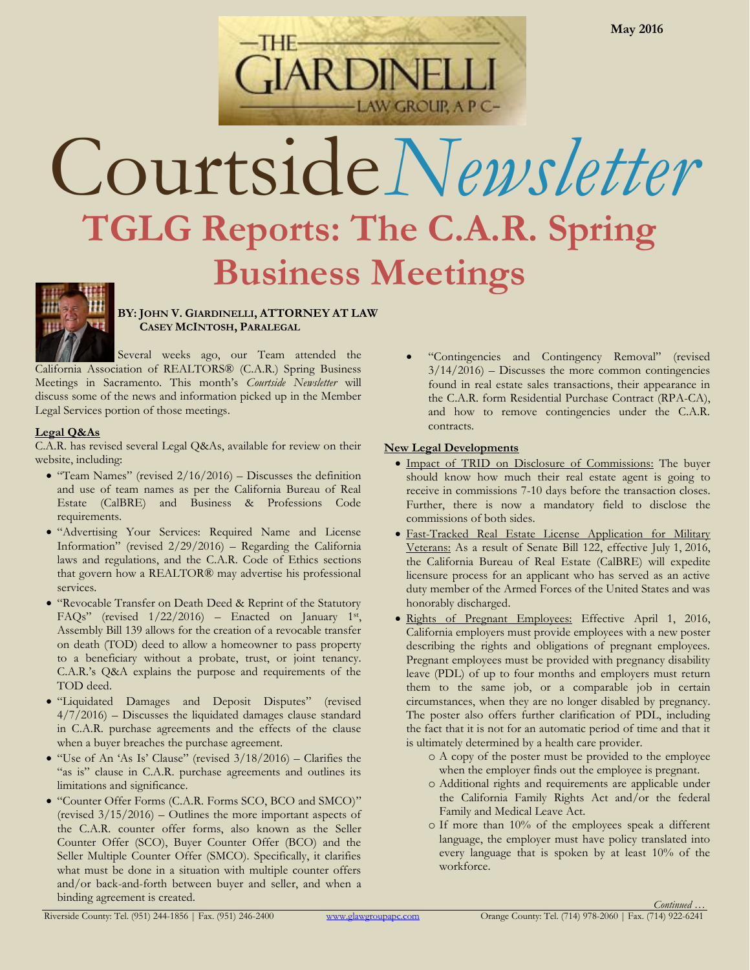

## Courtside*Newsletter* **TGLG Reports: The C.A.R. Spring Business Meetings**



**BY: JOHN V. GIARDINELLI, ATTORNEY AT LAW CASEY MCINTOSH, PARALEGAL**

Several weeks ago, our Team attended the California Association of REALTORS® (C.A.R.) Spring Business Meetings in Sacramento. This month's *Courtside Newsletter* will discuss some of the news and information picked up in the Member Legal Services portion of those meetings.

## **Legal Q&As**

C.A.R. has revised several Legal Q&As, available for review on their website, including:

- "Team Names" (revised  $2/16/2016$ ) Discusses the definition and use of team names as per the California Bureau of Real Estate (CalBRE) and Business & Professions Code requirements.
- "Advertising Your Services: Required Name and License Information" (revised 2/29/2016) – Regarding the California laws and regulations, and the C.A.R. Code of Ethics sections that govern how a REALTOR® may advertise his professional services.
- "Revocable Transfer on Death Deed & Reprint of the Statutory FAQs" (revised  $1/22/2016$ ) – Enacted on January 1st, Assembly Bill 139 allows for the creation of a revocable transfer on death (TOD) deed to allow a homeowner to pass property to a beneficiary without a probate, trust, or joint tenancy. C.A.R.'s Q&A explains the purpose and requirements of the TOD deed.
- "Liquidated Damages and Deposit Disputes" (revised  $4/7/2016$  – Discusses the liquidated damages clause standard in C.A.R. purchase agreements and the effects of the clause when a buyer breaches the purchase agreement.
- $\bullet$  "Use of An 'As Is' Clause" (revised  $3/18/2016$ ) Clarifies the "as is" clause in C.A.R. purchase agreements and outlines its limitations and significance.
- "Counter Offer Forms (C.A.R. Forms SCO, BCO and SMCO)" (revised 3/15/2016) – Outlines the more important aspects of the C.A.R. counter offer forms, also known as the Seller Counter Offer (SCO), Buyer Counter Offer (BCO) and the Seller Multiple Counter Offer (SMCO). Specifically, it clarifies what must be done in a situation with multiple counter offers and/or back-and-forth between buyer and seller, and when a binding agreement is created.

 "Contingencies and Contingency Removal" (revised  $3/14/2016$  – Discusses the more common contingencies found in real estate sales transactions, their appearance in the C.A.R. form Residential Purchase Contract (RPA-CA), and how to remove contingencies under the C.A.R. contracts.

## **New Legal Developments**

- $\bullet$  Impact of TRID on Disclosure of Commissions: The buyer should know how much their real estate agent is going to receive in commissions 7-10 days before the transaction closes. Further, there is now a mandatory field to disclose the commissions of both sides.
- Fast-Tracked Real Estate License Application for Military Veterans: As a result of Senate Bill 122, effective July 1, 2016, the California Bureau of Real Estate (CalBRE) will expedite licensure process for an applicant who has served as an active duty member of the Armed Forces of the United States and was honorably discharged.
- · Rights of Pregnant Employees: Effective April 1, 2016, California employers must provide employees with a new poster describing the rights and obligations of pregnant employees. Pregnant employees must be provided with pregnancy disability leave (PDL) of up to four months and employers must return them to the same job, or a comparable job in certain circumstances, when they are no longer disabled by pregnancy. The poster also offers further clarification of PDL, including the fact that it is not for an automatic period of time and that it is ultimately determined by a health care provider.
	- o A copy of the poster must be provided to the employee when the employer finds out the employee is pregnant.
	- o Additional rights and requirements are applicable under the California Family Rights Act and/or the federal Family and Medical Leave Act.
	- o If more than 10% of the employees speak a different language, the employer must have policy translated into every language that is spoken by at least 10% of the workforce.